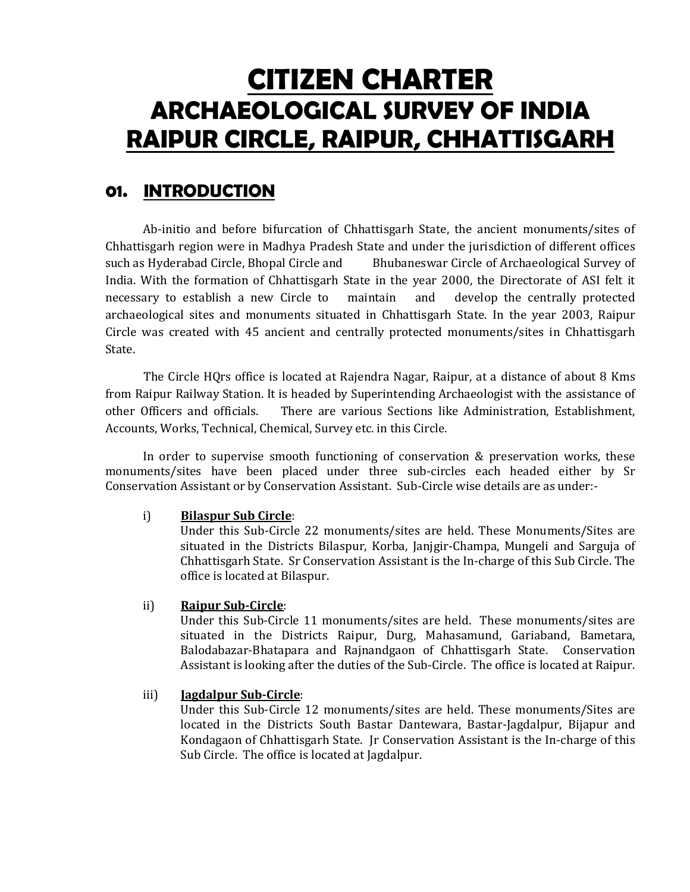# CITIZEN CHARTER ARCHAEOLOGICAL SURVEY OF INDIA RAIPUR CIRCLE, RAIPUR, CHHATTISGARH

# 01. INTRODUCTION

Ab-initio and before bifurcation of Chhattisgarh State, the ancient monuments/sites of Chhattisgarh region were in Madhya Pradesh State and under the jurisdiction of different offices such as Hyderabad Circle, Bhopal Circle and Bhubaneswar Circle of Archaeological Survey of India. With the formation of Chhattisgarh State in the year 2000, the Directorate of ASI felt it necessary to establish a new Circle to maintain and develop the centrally protected archaeological sites and monuments situated in Chhattisgarh State. In the year 2003, Raipur Circle was created with 45 ancient and centrally protected monuments/sites in Chhattisgarh State.

The Circle HQrs office is located at Rajendra Nagar, Raipur, at a distance of about 8 Kms from Raipur Railway Station. It is headed by Superintending Archaeologist with the assistance of other Officers and officials. There are various Sections like Administration, Establishment, Accounts, Works, Technical, Chemical, Survey etc. in this Circle.

In order to supervise smooth functioning of conservation & preservation works, these monuments/sites have been placed under three sub-circles each headed either by Sr Conservation Assistant or by Conservation Assistant. Sub-Circle wise details are as under:-

#### i) Bilaspur Sub Circle:

Under this Sub-Circle 22 monuments/sites are held. These Monuments/Sites are situated in the Districts Bilaspur, Korba, Janjgir-Champa, Mungeli and Sarguja of Chhattisgarh State. Sr Conservation Assistant is the In-charge of this Sub Circle. The office is located at Bilaspur.

### ii) Raipur Sub-Circle:

Under this Sub-Circle 11 monuments/sites are held. These monuments/sites are situated in the Districts Raipur, Durg, Mahasamund, Gariaband, Bametara, Balodabazar-Bhatapara and Rajnandgaon of Chhattisgarh State. Conservation Assistant is looking after the duties of the Sub-Circle. The office is located at Raipur.

#### iii) **Jagdalpur Sub-Circle**:

Under this Sub-Circle 12 monuments/sites are held. These monuments/Sites are located in the Districts South Bastar Dantewara, Bastar-Jagdalpur, Bijapur and Kondagaon of Chhattisgarh State. Jr Conservation Assistant is the In-charge of this Sub Circle. The office is located at Jagdalpur.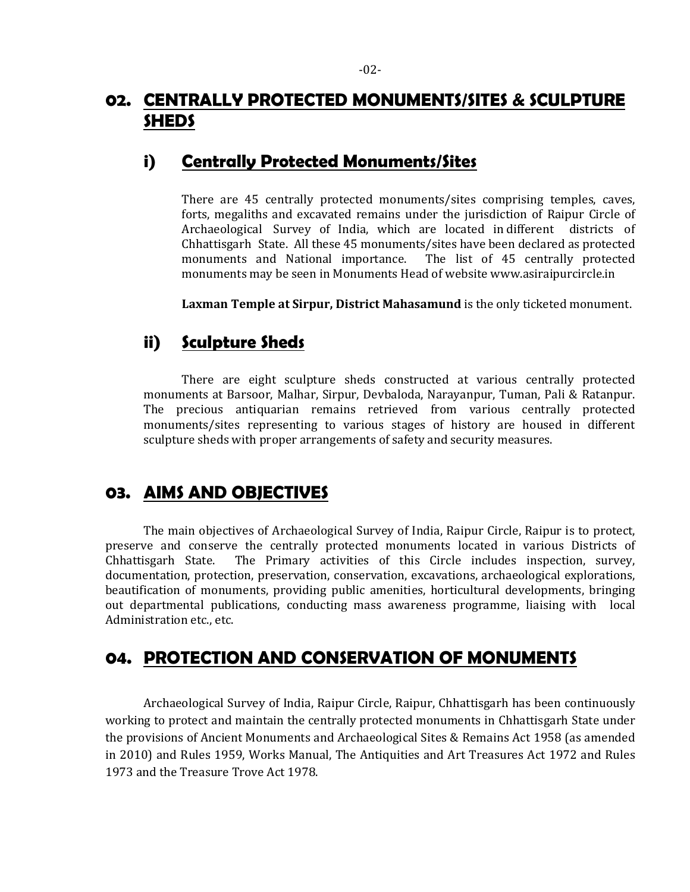### 02. CENTRALLY PROTECTED MONUMENTS/SITES & SCULPTURE **SHEDS**

### i) Centrally Protected Monuments/Sites

There are 45 centrally protected monuments/sites comprising temples, caves, forts, megaliths and excavated remains under the jurisdiction of Raipur Circle of Archaeological Survey of India, which are located in different districts of Chhattisgarh State. All these 45 monuments/sites have been declared as protected monuments and National importance. The list of 45 centrally protected monuments may be seen in Monuments Head of website www.asiraipurcircle.in

Laxman Temple at Sirpur, District Mahasamund is the only ticketed monument.

### ii) Sculpture Sheds

 There are eight sculpture sheds constructed at various centrally protected monuments at Barsoor, Malhar, Sirpur, Devbaloda, Narayanpur, Tuman, Pali & Ratanpur. The precious antiquarian remains retrieved from various centrally protected monuments/sites representing to various stages of history are housed in different sculpture sheds with proper arrangements of safety and security measures.

### 03. AIMS AND OBJECTIVES

The main objectives of Archaeological Survey of India, Raipur Circle, Raipur is to protect, preserve and conserve the centrally protected monuments located in various Districts of Chhattisgarh State. The Primary activities of this Circle includes inspection, survey, documentation, protection, preservation, conservation, excavations, archaeological explorations, beautification of monuments, providing public amenities, horticultural developments, bringing out departmental publications, conducting mass awareness programme, liaising with local Administration etc., etc.

# 04. PROTECTION AND CONSERVATION OF MONUMENTS

 Archaeological Survey of India, Raipur Circle, Raipur, Chhattisgarh has been continuously working to protect and maintain the centrally protected monuments in Chhattisgarh State under the provisions of Ancient Monuments and Archaeological Sites & Remains Act 1958 (as amended in 2010) and Rules 1959, Works Manual, The Antiquities and Art Treasures Act 1972 and Rules 1973 and the Treasure Trove Act 1978.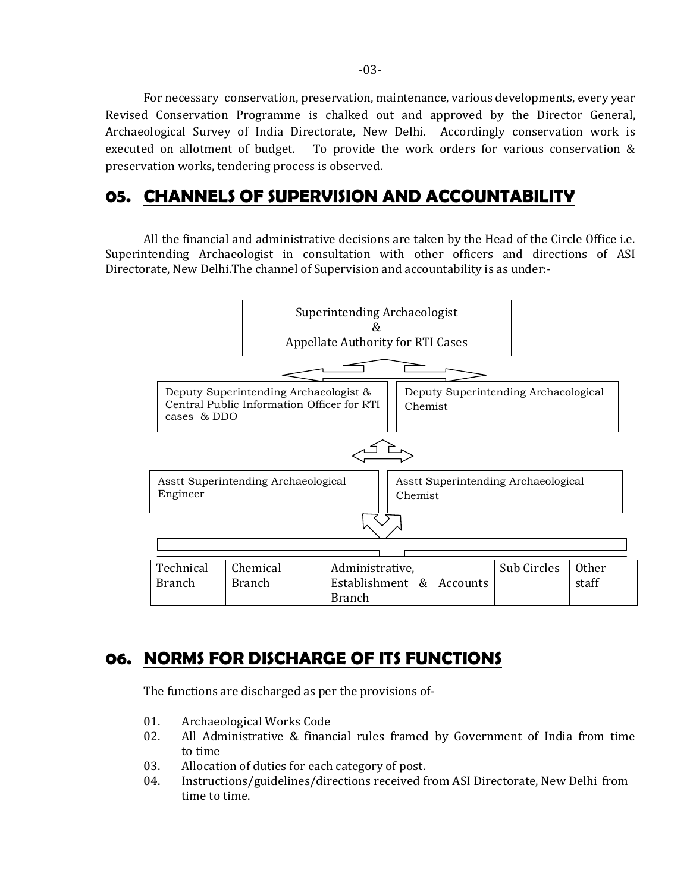For necessary conservation, preservation, maintenance, various developments, every year Revised Conservation Programme is chalked out and approved by the Director General, Archaeological Survey of India Directorate, New Delhi. Accordingly conservation work is executed on allotment of budget. To provide the work orders for various conservation & preservation works, tendering process is observed.

### 05. CHANNELS OF SUPERVISION AND ACCOUNTABILITY

 All the financial and administrative decisions are taken by the Head of the Circle Office i.e. Superintending Archaeologist in consultation with other officers and directions of ASI Directorate, New Delhi.The channel of Supervision and accountability is as under:-



# 06. NORMS FOR DISCHARGE OF ITS FUNCTIONS

The functions are discharged as per the provisions of-

- 01. Archaeological Works Code
- 02. All Administrative & financial rules framed by Government of India from time to time
- 03. Allocation of duties for each category of post.
- 04. Instructions/guidelines/directions received from ASI Directorate, New Delhi from time to time.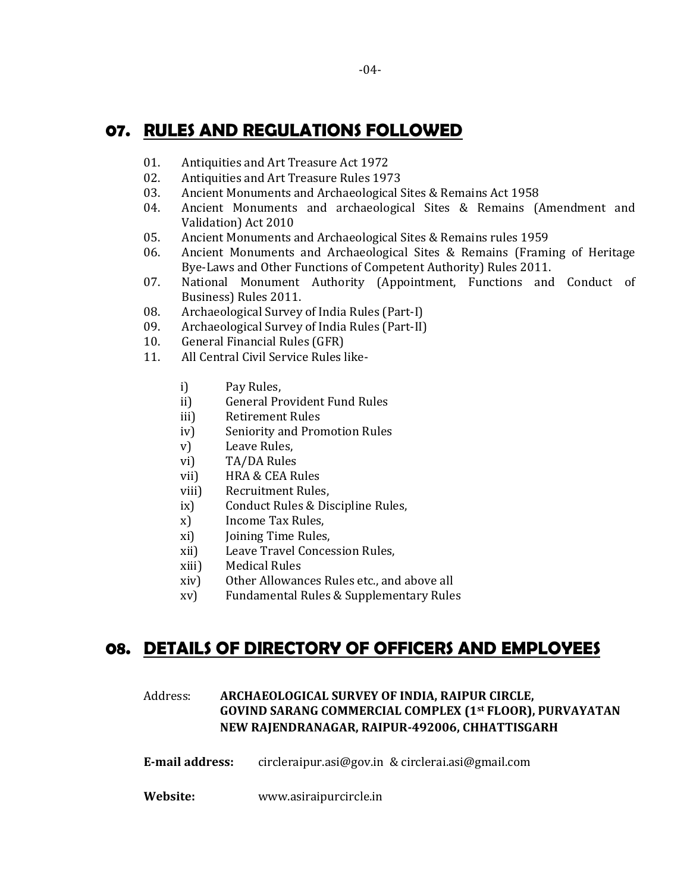### 07. RULES AND REGULATIONS FOLLOWED

- 01. Antiquities and Art Treasure Act 1972
- 02. Antiquities and Art Treasure Rules 1973
- 03. Ancient Monuments and Archaeological Sites & Remains Act 1958
- 04. Ancient Monuments and archaeological Sites & Remains (Amendment and Validation) Act 2010
- 05. Ancient Monuments and Archaeological Sites & Remains rules 1959
- 06. Ancient Monuments and Archaeological Sites & Remains (Framing of Heritage Bye-Laws and Other Functions of Competent Authority) Rules 2011.
- 07. National Monument Authority (Appointment, Functions and Conduct of Business) Rules 2011.
- 08. Archaeological Survey of India Rules (Part-I)
- 09. Archaeological Survey of India Rules (Part-II)
- 10. General Financial Rules (GFR)
- 11. All Central Civil Service Rules like
	- i) Pay Rules,
	- ii) General Provident Fund Rules
	- iii) Retirement Rules
	- iv) Seniority and Promotion Rules
	- v) Leave Rules,
	- vi) TA/DA Rules
	- vii) HRA & CEA Rules
	- viii) Recruitment Rules,
	- ix) Conduct Rules & Discipline Rules,
	- x) Income Tax Rules,
	- xi) Joining Time Rules,
	- xii) Leave Travel Concession Rules,
	- xiii) Medical Rules
	- xiv) Other Allowances Rules etc., and above all
	- xv) Fundamental Rules & Supplementary Rules

### 08. DETAILS OF DIRECTORY OF OFFICERS AND EMPLOYEES

### Address: ARCHAEOLOGICAL SURVEY OF INDIA, RAIPUR CIRCLE, GOVIND SARANG COMMERCIAL COMPLEX (1st FLOOR), PURVAYATAN NEW RAJENDRANAGAR, RAIPUR-492006, CHHATTISGARH

- E-mail address: circleraipur.asi@gov.in & circlerai.asi@gmail.com
- Website: www.asiraipurcircle.in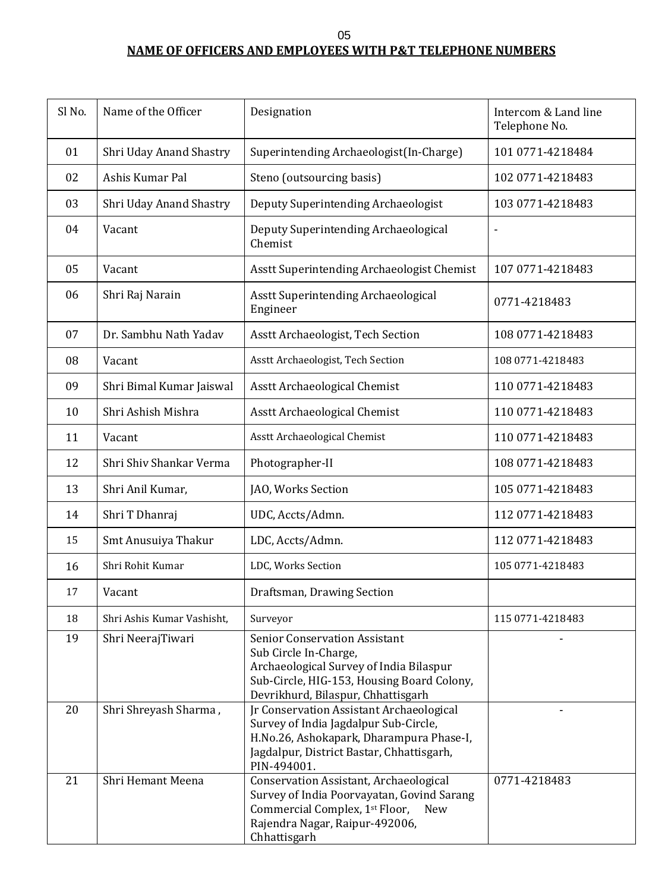05

### **NAME OF OFFICERS AND EMPLOYEES WITH P&T TELEPHONE NUMBERS**

| Sl No. | Name of the Officer        | Designation                                                                                                                                                                                  | Intercom & Land line<br>Telephone No. |
|--------|----------------------------|----------------------------------------------------------------------------------------------------------------------------------------------------------------------------------------------|---------------------------------------|
| 01     | Shri Uday Anand Shastry    | Superintending Archaeologist(In-Charge)                                                                                                                                                      | 101 0771-4218484                      |
| 02     | Ashis Kumar Pal            | Steno (outsourcing basis)                                                                                                                                                                    | 102 0771-4218483                      |
| 03     | Shri Uday Anand Shastry    | Deputy Superintending Archaeologist                                                                                                                                                          | 103 0771-4218483                      |
| 04     | Vacant                     | Deputy Superintending Archaeological<br>Chemist                                                                                                                                              |                                       |
| 05     | Vacant                     | Asstt Superintending Archaeologist Chemist                                                                                                                                                   | 107 0771-4218483                      |
| 06     | Shri Raj Narain            | Asstt Superintending Archaeological<br>Engineer                                                                                                                                              | 0771-4218483                          |
| 07     | Dr. Sambhu Nath Yadav      | Asstt Archaeologist, Tech Section                                                                                                                                                            | 108 0771-4218483                      |
| 08     | Vacant                     | Asstt Archaeologist, Tech Section                                                                                                                                                            | 108 0771-4218483                      |
| 09     | Shri Bimal Kumar Jaiswal   | Asstt Archaeological Chemist                                                                                                                                                                 | 110 0771-4218483                      |
| 10     | Shri Ashish Mishra         | Asstt Archaeological Chemist                                                                                                                                                                 | 110 0771-4218483                      |
| 11     | Vacant                     | Asstt Archaeological Chemist                                                                                                                                                                 | 110 0771-4218483                      |
| 12     | Shri Shiv Shankar Verma    | Photographer-II                                                                                                                                                                              | 108 0771-4218483                      |
| 13     | Shri Anil Kumar,           | JAO, Works Section                                                                                                                                                                           | 105 0771-4218483                      |
| 14     | Shri T Dhanraj             | UDC, Accts/Admn.                                                                                                                                                                             | 112 0771-4218483                      |
| 15     | Smt Anusuiya Thakur        | LDC, Accts/Admn.                                                                                                                                                                             | 112 0771-4218483                      |
| 16     | Shri Rohit Kumar           | LDC, Works Section                                                                                                                                                                           | 105 0771-4218483                      |
| 17     | Vacant                     | Draftsman, Drawing Section                                                                                                                                                                   |                                       |
| 18     | Shri Ashis Kumar Vashisht, | Surveyor                                                                                                                                                                                     | 115 0771-4218483                      |
| 19     | Shri NeerajTiwari          | <b>Senior Conservation Assistant</b><br>Sub Circle In-Charge,<br>Archaeological Survey of India Bilaspur<br>Sub-Circle, HIG-153, Housing Board Colony,<br>Devrikhurd, Bilaspur, Chhattisgarh |                                       |
| 20     | Shri Shreyash Sharma,      | Jr Conservation Assistant Archaeological<br>Survey of India Jagdalpur Sub-Circle,<br>H.No.26, Ashokapark, Dharampura Phase-I,<br>Jagdalpur, District Bastar, Chhattisgarh,<br>PIN-494001.    |                                       |
| 21     | Shri Hemant Meena          | Conservation Assistant, Archaeological<br>Survey of India Poorvayatan, Govind Sarang<br>Commercial Complex, 1st Floor,<br><b>New</b><br>Rajendra Nagar, Raipur-492006,<br>Chhattisgarh       | 0771-4218483                          |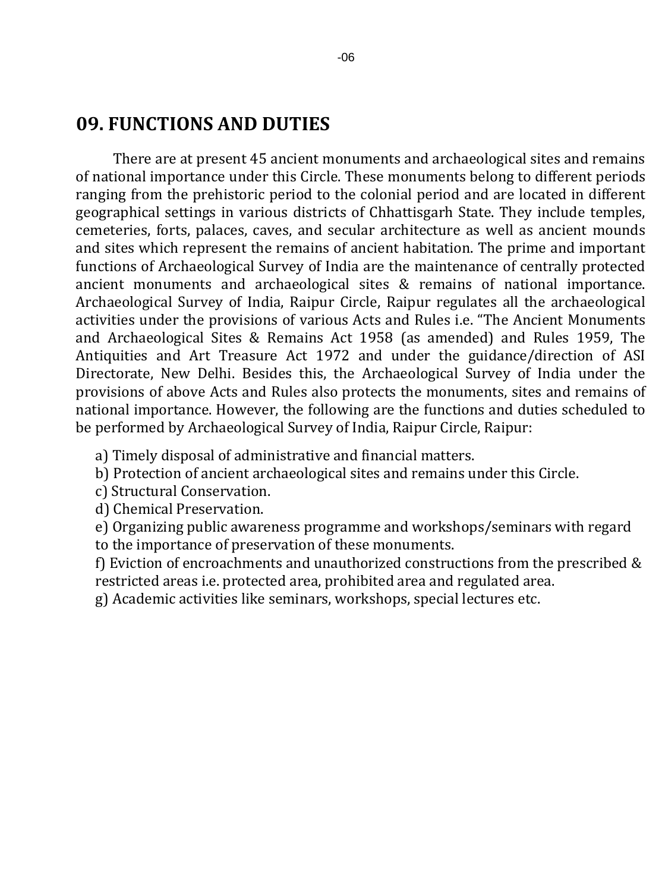# **09. FUNCTIONS AND DUTIES**

There are at present 45 ancient monuments and archaeological sites and remains of national importance under this Circle. These monuments belong to different periods ranging from the prehistoric period to the colonial period and are located in different geographical settings in various districts of Chhattisgarh State. They include temples, cemeteries, forts, palaces, caves, and secular architecture as well as ancient mounds and sites which represent the remains of ancient habitation. The prime and important functions of Archaeological Survey of India are the maintenance of centrally protected ancient monuments and archaeological sites & remains of national importance. Archaeological Survey of India, Raipur Circle, Raipur regulates all the archaeological activities under the provisions of various Acts and Rules i.e. "The Ancient Monuments and Archaeological Sites & Remains Act 1958 (as amended) and Rules 1959, The Antiquities and Art Treasure Act 1972 and under the guidance/direction of ASI Directorate, New Delhi. Besides this, the Archaeological Survey of India under the provisions of above Acts and Rules also protects the monuments, sites and remains of national importance. However, the following are the functions and duties scheduled to be performed by Archaeological Survey of India, Raipur Circle, Raipur:

- a) Timely disposal of administrative and financial matters.
- b) Protection of ancient archaeological sites and remains under this Circle.
- c) Structural Conservation.
- d) Chemical Preservation.
- e) Organizing public awareness programme and workshops/seminars with regard
- to the importance of preservation of these monuments.
- f) Eviction of encroachments and unauthorized constructions from the prescribed & restricted areas i.e. protected area, prohibited area and regulated area.
- g) Academic activities like seminars, workshops, special lectures etc.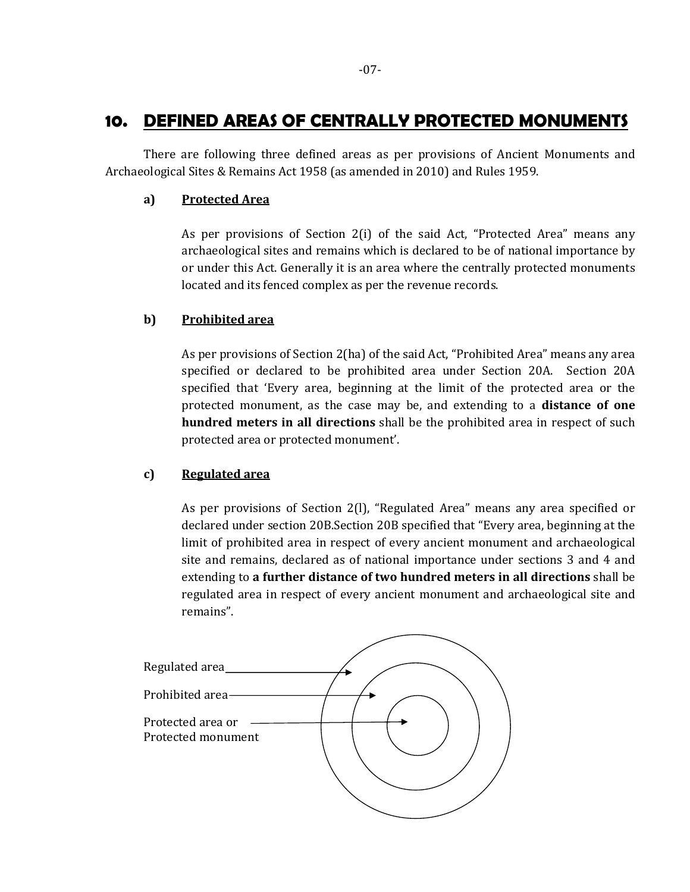### 10. DEFINED AREAS OF CENTRALLY PROTECTED MONUMENTS

 There are following three defined areas as per provisions of Ancient Monuments and Archaeological Sites & Remains Act 1958 (as amended in 2010) and Rules 1959.

#### a) Protected Area

 As per provisions of Section 2(i) of the said Act, "Protected Area" means any archaeological sites and remains which is declared to be of national importance by or under this Act. Generally it is an area where the centrally protected monuments located and its fenced complex as per the revenue records.

#### b) Prohibited area

 As per provisions of Section 2(ha) of the said Act, "Prohibited Area" means any area specified or declared to be prohibited area under Section 20A. Section 20A specified that 'Every area, beginning at the limit of the protected area or the protected monument, as the case may be, and extending to a distance of one hundred meters in all directions shall be the prohibited area in respect of such protected area or protected monument'.

#### c) Regulated area

 As per provisions of Section 2(l), "Regulated Area" means any area specified or declared under section 20B.Section 20B specified that "Every area, beginning at the limit of prohibited area in respect of every ancient monument and archaeological site and remains, declared as of national importance under sections 3 and 4 and extending to a further distance of two hundred meters in all directions shall be regulated area in respect of every ancient monument and archaeological site and remains".

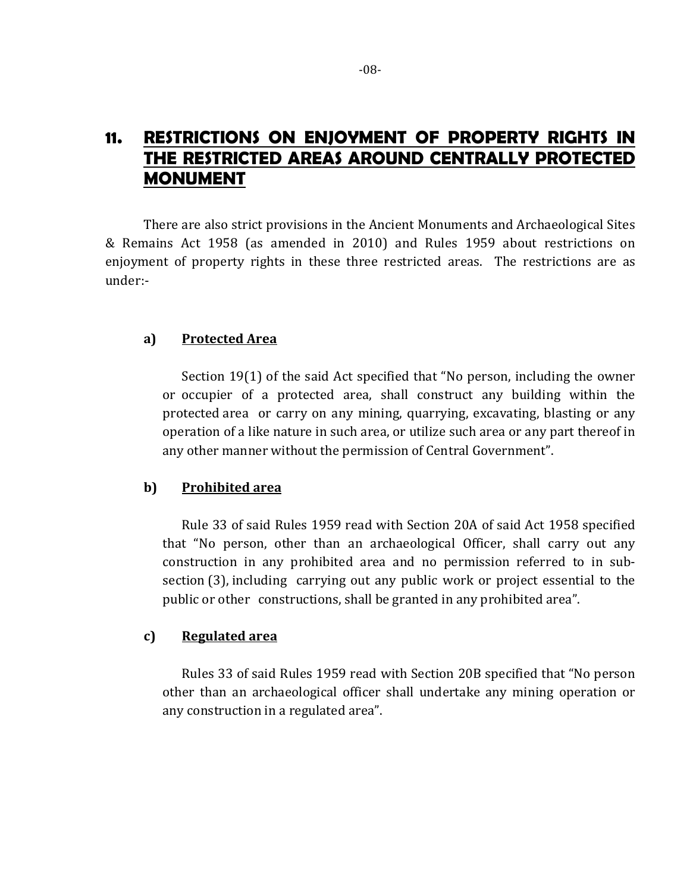# 11. RESTRICTIONS ON ENJOYMENT OF PROPERTY RIGHTS IN THE RESTRICTED AREAS AROUND CENTRALLY PROTECTED MONUMENT

There are also strict provisions in the Ancient Monuments and Archaeological Sites & Remains Act 1958 (as amended in 2010) and Rules 1959 about restrictions on enjoyment of property rights in these three restricted areas. The restrictions are as under:-

#### a) Protected Area

 Section 19(1) of the said Act specified that "No person, including the owner or occupier of a protected area, shall construct any building within the protected area or carry on any mining, quarrying, excavating, blasting or any operation of a like nature in such area, or utilize such area or any part thereof in any other manner without the permission of Central Government".

#### b) Prohibited area

 Rule 33 of said Rules 1959 read with Section 20A of said Act 1958 specified that "No person, other than an archaeological Officer, shall carry out any construction in any prohibited area and no permission referred to in subsection (3), including carrying out any public work or project essential to the public or other constructions, shall be granted in any prohibited area".

#### c) Regulated area

 Rules 33 of said Rules 1959 read with Section 20B specified that "No person other than an archaeological officer shall undertake any mining operation or any construction in a regulated area".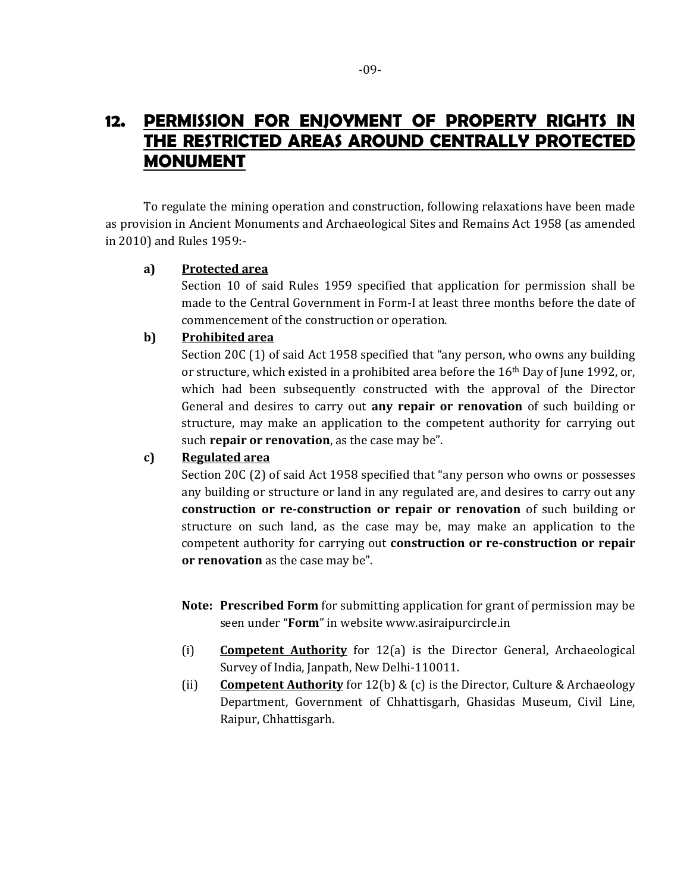### 12. PERMISSION FOR ENJOYMENT OF PROPERTY RIGHTS IN THE RESTRICTED AREAS AROUND CENTRALLY PROTECTED MONUMENT

 To regulate the mining operation and construction, following relaxations have been made as provision in Ancient Monuments and Archaeological Sites and Remains Act 1958 (as amended in 2010) and Rules 1959:-

#### a) Protected area

 Section 10 of said Rules 1959 specified that application for permission shall be made to the Central Government in Form-I at least three months before the date of commencement of the construction or operation.

#### b) Prohibited area

 Section 20C (1) of said Act 1958 specified that "any person, who owns any building or structure, which existed in a prohibited area before the  $16<sup>th</sup>$  Day of June 1992, or, which had been subsequently constructed with the approval of the Director General and desires to carry out any repair or renovation of such building or structure, may make an application to the competent authority for carrying out such repair or renovation, as the case may be".

### c) Regulated area

 Section 20C (2) of said Act 1958 specified that "any person who owns or possesses any building or structure or land in any regulated are, and desires to carry out any construction or re-construction or repair or renovation of such building or structure on such land, as the case may be, may make an application to the competent authority for carrying out construction or re-construction or repair or renovation as the case may be".

- Note: Prescribed Form for submitting application for grant of permission may be seen under "Form" in website www.asiraipurcircle.in
- (i) Competent Authority for 12(a) is the Director General, Archaeological Survey of India, Janpath, New Delhi-110011.
- (ii) Competent Authority for 12(b) & (c) is the Director, Culture & Archaeology Department, Government of Chhattisgarh, Ghasidas Museum, Civil Line, Raipur, Chhattisgarh.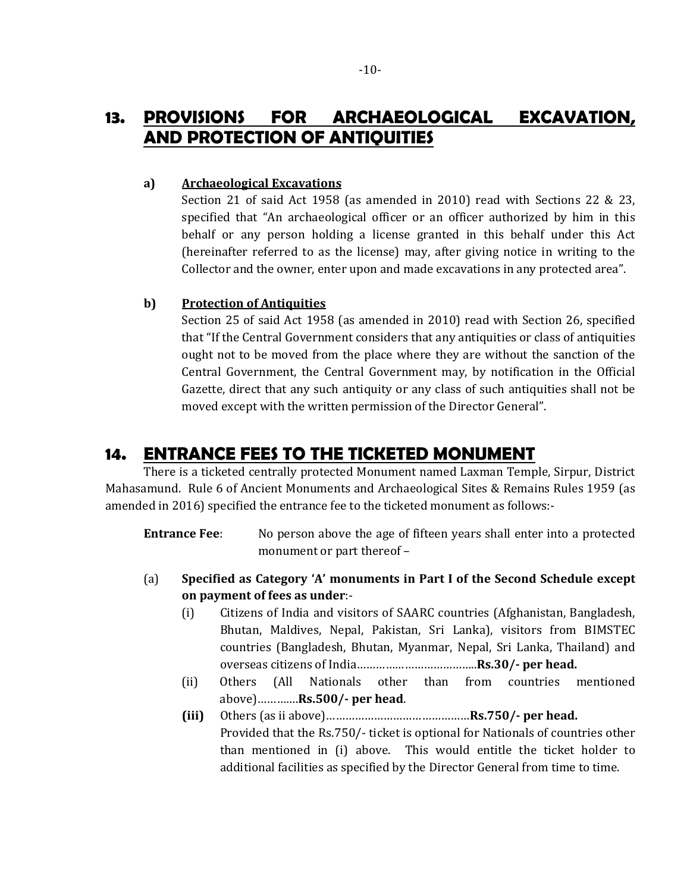# 13. PROVISIONS FOR ARCHAEOLOGICAL EXCAVATION, AND PROTECTION OF ANTIQUITIES

#### a) Archaeological Excavations

 Section 21 of said Act 1958 (as amended in 2010) read with Sections 22 & 23, specified that "An archaeological officer or an officer authorized by him in this behalf or any person holding a license granted in this behalf under this Act (hereinafter referred to as the license) may, after giving notice in writing to the Collector and the owner, enter upon and made excavations in any protected area".

### b) Protection of Antiquities

 Section 25 of said Act 1958 (as amended in 2010) read with Section 26, specified that "If the Central Government considers that any antiquities or class of antiquities ought not to be moved from the place where they are without the sanction of the Central Government, the Central Government may, by notification in the Official Gazette, direct that any such antiquity or any class of such antiquities shall not be moved except with the written permission of the Director General".

### 14. ENTRANCE FEES TO THE TICKETED MONUMENT

 There is a ticketed centrally protected Monument named Laxman Temple, Sirpur, District Mahasamund. Rule 6 of Ancient Monuments and Archaeological Sites & Remains Rules 1959 (as amended in 2016) specified the entrance fee to the ticketed monument as follows:-

Entrance Fee: No person above the age of fifteen years shall enter into a protected monument or part thereof –

- (a) Specified as Category 'A' monuments in Part I of the Second Schedule except on payment of fees as under:-
	- (i) Citizens of India and visitors of SAARC countries (Afghanistan, Bangladesh, Bhutan, Maldives, Nepal, Pakistan, Sri Lanka), visitors from BIMSTEC countries (Bangladesh, Bhutan, Myanmar, Nepal, Sri Lanka, Thailand) and overseas citizens of India………………………………..Rs.30/- per head.
	- (ii) Others (All Nationals other than from countries mentioned above)………….Rs.500/- per head.
	- (iii) Others (as ii above)………………………………………Rs.750/- per head. Provided that the Rs.750/- ticket is optional for Nationals of countries other than mentioned in (i) above. This would entitle the ticket holder to additional facilities as specified by the Director General from time to time.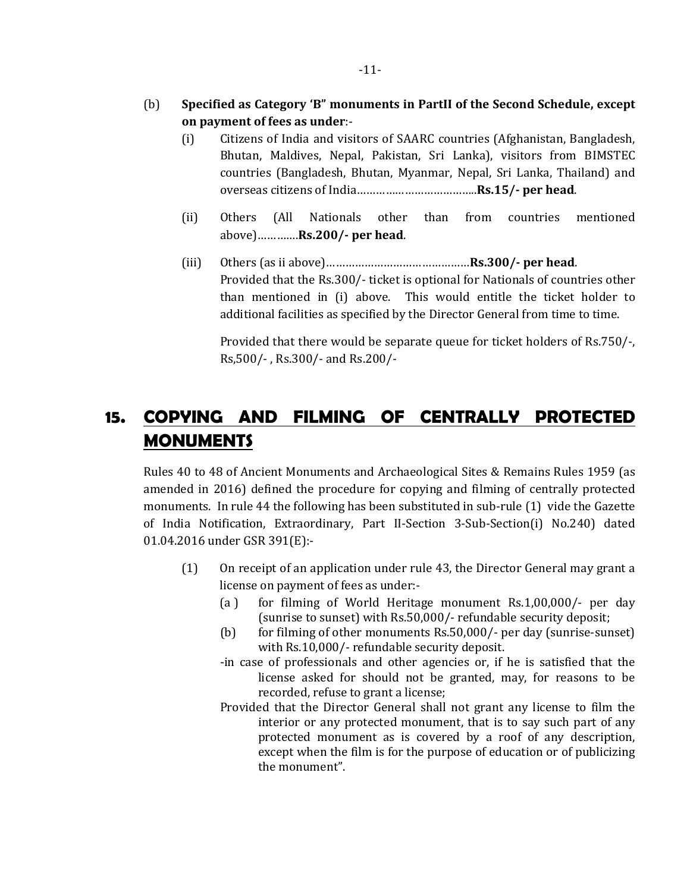- (b) Specified as Category 'B" monuments in PartII of the Second Schedule, except on payment of fees as under:-
	- (i) Citizens of India and visitors of SAARC countries (Afghanistan, Bangladesh, Bhutan, Maldives, Nepal, Pakistan, Sri Lanka), visitors from BIMSTEC countries (Bangladesh, Bhutan, Myanmar, Nepal, Sri Lanka, Thailand) and overseas citizens of India………………………………..Rs.15/- per head.
	- (ii) Others (All Nationals other than from countries mentioned above)………….Rs.200/- per head.
	- (iii) Others (as ii above)………………………………………Rs.300/- per head. Provided that the Rs.300/- ticket is optional for Nationals of countries other than mentioned in (i) above. This would entitle the ticket holder to additional facilities as specified by the Director General from time to time.

Provided that there would be separate queue for ticket holders of Rs.750/-, Rs,500/- , Rs.300/- and Rs.200/-

# 15. COPYING AND FILMING OF CENTRALLY PROTECTED **MONUMENTS**

Rules 40 to 48 of Ancient Monuments and Archaeological Sites & Remains Rules 1959 (as amended in 2016) defined the procedure for copying and filming of centrally protected monuments. In rule 44 the following has been substituted in sub-rule (1) vide the Gazette of India Notification, Extraordinary, Part II-Section 3-Sub-Section(i) No.240) dated 01.04.2016 under GSR 391(E):-

- (1) On receipt of an application under rule 43, the Director General may grant a license on payment of fees as under:-
	- (a ) for filming of World Heritage monument Rs.1,00,000/- per day (sunrise to sunset) with Rs.50,000/- refundable security deposit;
	- (b) for filming of other monuments Rs.50,000/- per day (sunrise-sunset) with Rs.10,000/- refundable security deposit.
	- -in case of professionals and other agencies or, if he is satisfied that the license asked for should not be granted, may, for reasons to be recorded, refuse to grant a license;
	- Provided that the Director General shall not grant any license to film the interior or any protected monument, that is to say such part of any protected monument as is covered by a roof of any description, except when the film is for the purpose of education or of publicizing the monument".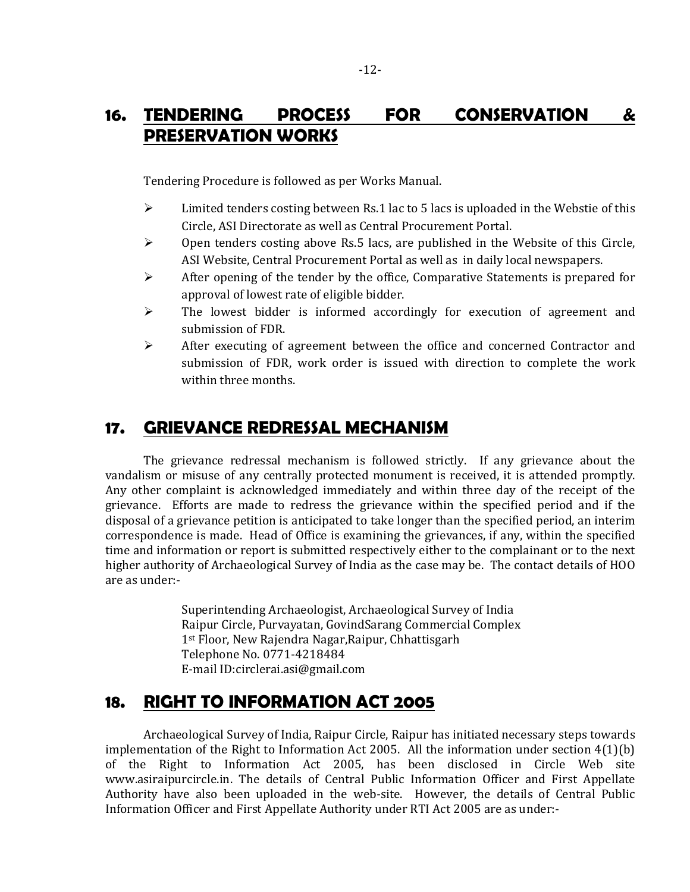# 16. TENDERING PROCESS FOR CONSERVATION & PRESERVATION WORKS

Tendering Procedure is followed as per Works Manual.

- $\triangleright$  Limited tenders costing between Rs.1 lac to 5 lacs is uploaded in the Webstie of this Circle, ASI Directorate as well as Central Procurement Portal.
- $\triangleright$  Open tenders costing above Rs.5 lacs, are published in the Website of this Circle, ASI Website, Central Procurement Portal as well as in daily local newspapers.
- $\triangleright$  After opening of the tender by the office, Comparative Statements is prepared for approval of lowest rate of eligible bidder.
- $\triangleright$  The lowest bidder is informed accordingly for execution of agreement and submission of FDR.
- After executing of agreement between the office and concerned Contractor and submission of FDR, work order is issued with direction to complete the work within three months.

# 17. GRIEVANCE REDRESSAL MECHANISM

 The grievance redressal mechanism is followed strictly. If any grievance about the vandalism or misuse of any centrally protected monument is received, it is attended promptly. Any other complaint is acknowledged immediately and within three day of the receipt of the grievance. Efforts are made to redress the grievance within the specified period and if the disposal of a grievance petition is anticipated to take longer than the specified period, an interim correspondence is made. Head of Office is examining the grievances, if any, within the specified time and information or report is submitted respectively either to the complainant or to the next higher authority of Archaeological Survey of India as the case may be. The contact details of HOO are as under:-

> Superintending Archaeologist, Archaeological Survey of India Raipur Circle, Purvayatan, GovindSarang Commercial Complex 1st Floor, New Rajendra Nagar,Raipur, Chhattisgarh Telephone No. 0771-4218484 E-mail ID:circlerai.asi@gmail.com

# 18. RIGHT TO INFORMATION ACT 2005

 Archaeological Survey of India, Raipur Circle, Raipur has initiated necessary steps towards implementation of the Right to Information Act 2005. All the information under section 4(1)(b) of the Right to Information Act 2005, has been disclosed in Circle Web site www.asiraipurcircle.in. The details of Central Public Information Officer and First Appellate Authority have also been uploaded in the web-site. However, the details of Central Public Information Officer and First Appellate Authority under RTI Act 2005 are as under:-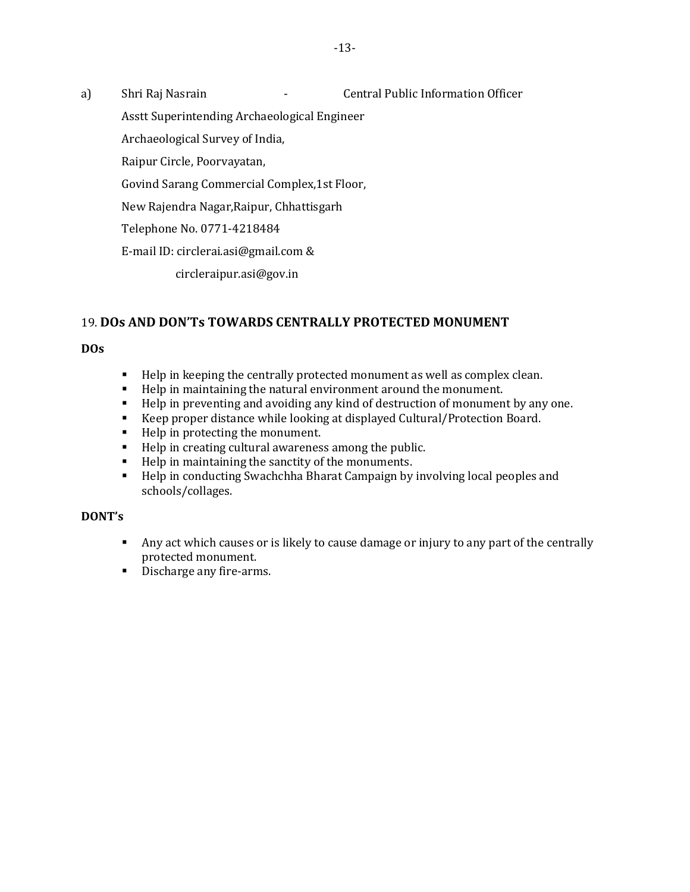a) Shri Raj Nasrain - Central Public Information Officer

Asstt Superintending Archaeological Engineer

Archaeological Survey of India,

Raipur Circle, Poorvayatan,

Govind Sarang Commercial Complex,1st Floor,

New Rajendra Nagar,Raipur, Chhattisgarh

Telephone No. 0771-4218484

E-mail ID: circlerai.asi@gmail.com &

circleraipur.asi@gov.in

### 19. **DOs AND DON'Ts TOWARDS CENTRALLY PROTECTED MONUMENT**

**DOs**

- Help in keeping the centrally protected monument as well as complex clean.
- Help in maintaining the natural environment around the monument.
- Help in preventing and avoiding any kind of destruction of monument by any one.
- Keep proper distance while looking at displayed Cultural/Protection Board.
- Help in protecting the monument.
- Help in creating cultural awareness among the public.
- Help in maintaining the sanctity of the monuments.<br>■ Help in conducting Swachchha Bharat Campaign by
- Help in conducting Swachchha Bharat Campaign by involving local peoples and schools/collages.

### **DONT's**

- Any act which causes or is likely to cause damage or injury to any part of the centrally protected monument.
- Discharge any fire-arms.